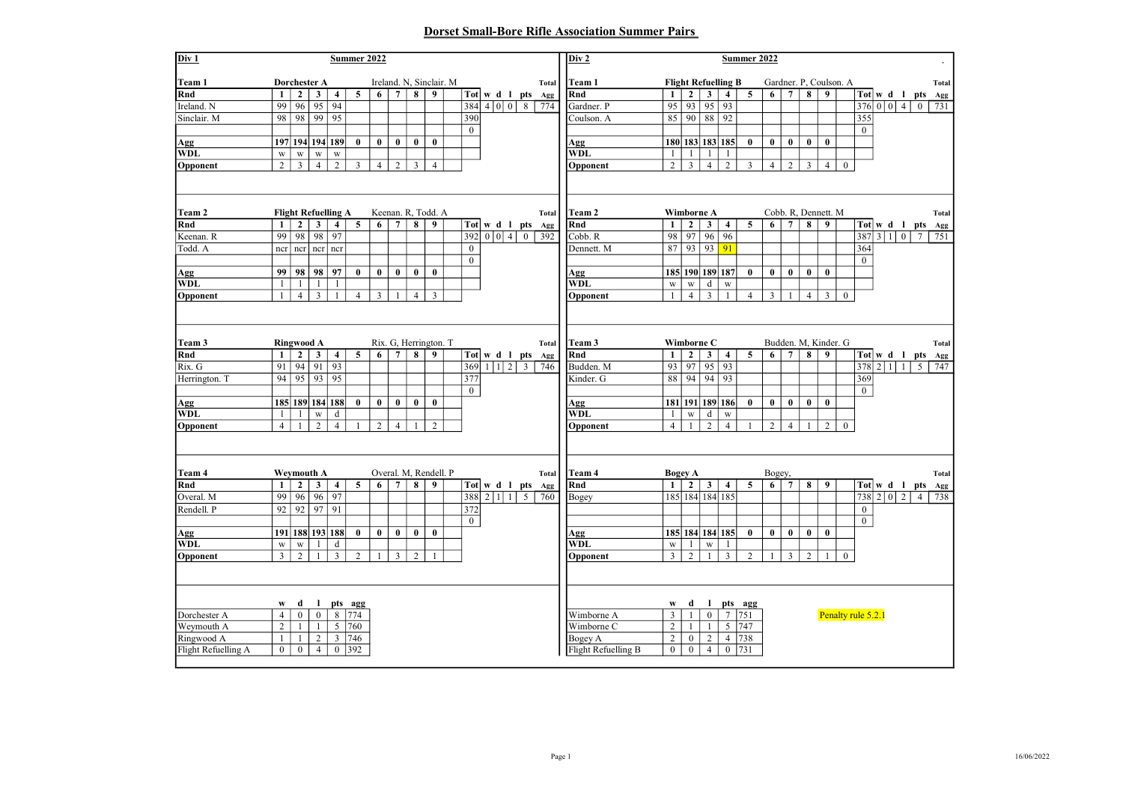## Dorset Small-Bore Rifle Association Summer Pairs

| Div 1                                                                     | <b>Summer 2022</b>                               |                                                                               |                                               |                                                                                     |                               |                    |                                              |                         |                                             |  |                                      |  | Div 2 | <b>Summer 2022</b> |                                   |                                                                          |                                                 |                                                              |                                              |                                                                      |                               |                    |                                              |                               |                                            |                |                       |                                                                                    |                |                |                     |
|---------------------------------------------------------------------------|--------------------------------------------------|-------------------------------------------------------------------------------|-----------------------------------------------|-------------------------------------------------------------------------------------|-------------------------------|--------------------|----------------------------------------------|-------------------------|---------------------------------------------|--|--------------------------------------|--|-------|--------------------|-----------------------------------|--------------------------------------------------------------------------|-------------------------------------------------|--------------------------------------------------------------|----------------------------------------------|----------------------------------------------------------------------|-------------------------------|--------------------|----------------------------------------------|-------------------------------|--------------------------------------------|----------------|-----------------------|------------------------------------------------------------------------------------|----------------|----------------|---------------------|
| Team 1                                                                    | Ireland. N, Sinclair. M<br>Dorchester A<br>Total |                                                                               |                                               |                                                                                     |                               |                    |                                              |                         |                                             |  | Team 1                               |  |       |                    | <b>Flight Refuelling B</b>        |                                                                          |                                                 |                                                              |                                              | Gardner. P, Coulson. A                                               |                               |                    |                                              |                               |                                            | Total          |                       |                                                                                    |                |                |                     |
| Rnd                                                                       | $\mathbf{1}$                                     | $\mathbf{2}$                                                                  | $\mathbf{3}$                                  | $\overline{\mathbf{4}}$                                                             | 5                             | 6                  | $\overline{7}$                               | $\overline{\mathbf{8}}$ | 9                                           |  |                                      |  |       |                    | Tot   $w$ d   pts $Agg$           | Rnd                                                                      | $\mathbf{1}$                                    | $2^{\circ}$                                                  | $\overline{\mathbf{3}}$                      | $\overline{\mathbf{4}}$                                              | 5                             | 6                  | $\overline{7}$                               | $\overline{\mathbf{8}}$       | 9                                          |                |                       | $Tot \, \vert \, \mathbf{w} \, \mathbf{d} \, \vert \, \mathbf{l} \, \mathbf{p}$ ts |                |                | Agg                 |
| Ireland. N                                                                | 99                                               | 96                                                                            | 95                                            | 94                                                                                  |                               |                    |                                              |                         |                                             |  | 384                                  |  | 4 0 0 | 8                  | 774                               | Gardner. P                                                               | 95                                              | 93                                                           | 95                                           | 93                                                                   |                               |                    |                                              |                               |                                            |                |                       | 376 0 0                                                                            | $\overline{4}$ | $\mathbf{0}$   | 731                 |
| Sinclair. M                                                               | 98                                               | 98                                                                            | 99                                            | 95                                                                                  |                               |                    |                                              |                         |                                             |  | 390                                  |  |       |                    |                                   | Coulson. A                                                               | 85                                              | $90 \,   \, 88$                                              |                                              | 92                                                                   |                               |                    |                                              |                               |                                            |                | 355                   |                                                                                    |                |                |                     |
|                                                                           |                                                  |                                                                               |                                               |                                                                                     |                               |                    |                                              |                         |                                             |  | $\mathbf{0}$                         |  |       |                    |                                   |                                                                          |                                                 |                                                              |                                              |                                                                      |                               |                    |                                              |                               |                                            |                | $\overline{0}$        |                                                                                    |                |                |                     |
| Agg                                                                       |                                                  |                                                                               |                                               | 197 194 194 189                                                                     | $\bf{0}$                      | $\bf{0}$           | $\bf{0}$                                     | $\bf{0}$                | $\bf{0}$                                    |  |                                      |  |       |                    |                                   | Agg                                                                      |                                                 |                                                              |                                              | 180 183 183 185                                                      | $\bf{0}$                      | $\bf{0}$           | $\bf{0}$                                     | $\bf{0}$                      | $\bf{0}$                                   |                |                       |                                                                                    |                |                |                     |
| <b>WDL</b>                                                                | $\mathbf{W}$                                     | $\ensuremath{\text{w}}$                                                       | $\ensuremath{\text{W}}$                       | $\mathbf{W}$                                                                        |                               |                    |                                              |                         |                                             |  |                                      |  |       |                    |                                   | <b>WDL</b>                                                               | $\mathbf{1}$                                    | -1                                                           | $\mathbf{1}$                                 | $\mathbf{1}$                                                         |                               |                    |                                              |                               |                                            |                |                       |                                                                                    |                |                |                     |
| Opponent                                                                  | $\overline{2}$                                   | $\overline{3}$                                                                | $\overline{4}$                                | 2                                                                                   | 3                             | $\overline{4}$     | $\overline{c}$                               | $\overline{3}$          | $\overline{4}$                              |  |                                      |  |       |                    |                                   | Opponent                                                                 | $\overline{2}$                                  | 3                                                            | $\overline{4}$                               | $\overline{c}$                                                       | 3                             | $\overline{4}$     | 2                                            | $\mathfrak{Z}$                | $\overline{4}$                             | $\mathbf{0}$   |                       |                                                                                    |                |                |                     |
|                                                                           |                                                  |                                                                               |                                               |                                                                                     |                               |                    |                                              |                         |                                             |  |                                      |  |       |                    |                                   |                                                                          |                                                 |                                                              |                                              |                                                                      |                               |                    |                                              |                               |                                            |                |                       |                                                                                    |                |                |                     |
| Team 2                                                                    |                                                  |                                                                               |                                               | <b>Flight Refuelling A</b>                                                          |                               |                    |                                              |                         | Keenan. R. Todd. A                          |  |                                      |  |       |                    | Total                             | Team 2                                                                   |                                                 | Wimborne A                                                   |                                              |                                                                      |                               |                    |                                              |                               | Cobb. R. Dennett. M                        |                |                       |                                                                                    |                |                | Total               |
| Rnd                                                                       | 1                                                | $\mathbf{2}$                                                                  | $\mathbf{3}$                                  | $\overline{4}$                                                                      | 5                             | 6                  | $\overline{7}$                               | 8                       | 9                                           |  |                                      |  |       |                    | Tot w d 1 pts Agg                 | Rnd                                                                      | 1                                               | $\mathbf{2}$                                                 | $\mathbf{3}$                                 | $\overline{4}$                                                       | 5                             | 6                  | $7\overline{ }$                              | 8                             | 9                                          |                |                       | $Tot \, \vert \, \mathbf{w} \, \mathbf{d} \, \vert \, \mathbf{l} \, \mathbf{p}$ ts |                |                | Agg                 |
| Keenan. R                                                                 | 99                                               | 98                                                                            | 98                                            | 97                                                                                  |                               |                    |                                              |                         |                                             |  | 392                                  |  | 0 0 4 | $\theta$           | 392                               | Cobb. R                                                                  | 98                                              | 97                                                           | 96                                           | 96                                                                   |                               |                    |                                              |                               |                                            |                | 387                   | 310                                                                                |                | $\tau$         | 751                 |
| Todd. A                                                                   | ncr                                              |                                                                               |                                               | $\vert$ ncr $\vert$ ncr                                                             |                               |                    |                                              |                         |                                             |  | $\mathbf{0}$                         |  |       |                    |                                   | Dennett. M                                                               | 87                                              | 93                                                           | 93                                           | 91                                                                   |                               |                    |                                              |                               |                                            |                | 364                   |                                                                                    |                |                |                     |
|                                                                           |                                                  |                                                                               |                                               |                                                                                     |                               |                    |                                              |                         |                                             |  | $\mathbf{0}$                         |  |       |                    |                                   |                                                                          |                                                 |                                                              |                                              |                                                                      |                               |                    |                                              |                               |                                            |                | $\mathbf{0}$          |                                                                                    |                |                |                     |
| Agg                                                                       | 99                                               |                                                                               | 98 98                                         | 97                                                                                  | $\bf{0}$                      | $\bf{0}$           | $\bf{0}$                                     | $\bf{0}$                | $\bf{0}$                                    |  |                                      |  |       |                    |                                   | Agg                                                                      |                                                 |                                                              |                                              | 185 190 189 187                                                      | $\bf{0}$                      | $\bf{0}$           | $\bf{0}$                                     | $\bf{0}$                      | $\bf{0}$                                   |                |                       |                                                                                    |                |                |                     |
| <b>WDL</b>                                                                | $\mathbf{1}$                                     |                                                                               |                                               |                                                                                     |                               |                    |                                              |                         |                                             |  |                                      |  |       |                    |                                   | <b>WDL</b>                                                               | $\mathbf{W}$                                    | $\ensuremath{\text{w}}\xspace$                               | $\mathbf d$                                  | $\mathbf{W}$                                                         |                               |                    |                                              |                               |                                            |                |                       |                                                                                    |                |                |                     |
| Opponent                                                                  | $\mathbf{1}$                                     | $\overline{4}$                                                                | 3                                             | 1                                                                                   | $\overline{4}$                | $\mathfrak{Z}$     | -1                                           | $\overline{4}$          | 3                                           |  |                                      |  |       |                    |                                   | Opponent                                                                 | $\mathbf{1}$                                    | $\overline{4}$                                               | $\mathbf{3}$                                 | $\mathbf{1}$                                                         | $\overline{4}$                | $\mathfrak{Z}$     | -1                                           | $\overline{4}$                | 3                                          | $\mathbf{0}$   |                       |                                                                                    |                |                |                     |
| Team 3<br>Rnd<br>Rix. G<br>Herrington. T<br>Agg<br><b>WDL</b><br>Opponent | 1<br>91<br>94<br>$\mathbf{1}$<br>$\overline{4}$  | <b>Ringwood A</b><br>$\mathbf{2}$<br>94<br>95<br>$\mathbf{1}$<br>$\mathbf{1}$ | $\mathbf{3}$<br>91<br>93<br>$\mathbf{W}$<br>2 | $\overline{\mathbf{4}}$<br>93<br>95<br>185 189 184 188<br>$\rm d$<br>$\overline{4}$ | 5<br>$\bf{0}$<br>$\mathbf{1}$ | 6<br>$\bf{0}$<br>2 | $\overline{7}$<br>$\bf{0}$<br>$\overline{4}$ | 8<br>$\mathbf{0}$<br>-1 | Rix. G, Herrington. T<br>9<br>$\bf{0}$<br>2 |  | $369$ 1 1 2 3<br>377<br>$\mathbf{0}$ |  |       |                    | Total<br>Tot w d 1 pts Agg<br>746 | Team 3<br>Rnd<br>Budden. M<br>Kinder. G<br>Agg<br><b>WDL</b><br>Opponent | 1<br>93<br>88<br>$\mathbf{1}$<br>$\overline{4}$ | Wimborne C<br>$\mathbf{2}$<br>97<br>94<br>$\mathbf{W}$<br>-1 | $\mathbf{3}$<br>95<br>94<br>$\mathbf d$<br>2 | $\overline{4}$<br>93<br>93<br>181 191 189 186<br>W<br>$\overline{4}$ | 5<br>$\bf{0}$<br>$\mathbf{1}$ | 6<br>$\bf{0}$<br>2 | $\overline{7}$<br>$\bf{0}$<br>$\overline{4}$ | 8<br>$\bf{0}$<br>$\mathbf{1}$ | Budden. M, Kinder. G<br>9<br>$\bf{0}$<br>2 | $\overline{0}$ | 369<br>$\overline{0}$ | Tot w d 1 pts<br>$378$ 2 1 1                                                       |                | 5              | Total<br>Agg<br>747 |
| Team 4<br>Rnd                                                             | $\mathbf{1}$                                     | <b>Weymouth A</b><br>$\mathbf{2}$                                             | $\mathbf{3}$                                  | $\overline{4}$                                                                      | 5                             | 6                  | $\overline{7}$                               | 8                       | Overal. M, Rendell. P<br>9                  |  |                                      |  |       |                    | Total<br>Tot w d 1 pts Agg        | Team 4<br>Rnd                                                            | 1                                               | <b>Bogey A</b>                                               | $2 \mid 3 \mid$                              | $\overline{4}$                                                       | $\overline{5}$                | Bogey,<br>6        | $7\phantom{.0}$                              | $\overline{\mathbf{8}}$       | 9                                          |                |                       | $Tot \, \vert \, \mathbf{w} \, \mathbf{d}$ 1 pts                                   |                |                | Total               |
| Overal. M                                                                 | 99                                               | 96                                                                            | 96                                            | 97                                                                                  |                               |                    |                                              |                         |                                             |  | $388$ 2 1 1 5                        |  |       |                    | 760                               | Bogey                                                                    |                                                 |                                                              |                                              | 185 184 184 185                                                      |                               |                    |                                              |                               |                                            |                |                       | $738$ 2 0 2                                                                        |                | $\overline{4}$ | Agg<br>738          |
| Rendell. P                                                                | 92                                               | 92                                                                            | 97                                            | 91                                                                                  |                               |                    |                                              |                         |                                             |  | 372                                  |  |       |                    |                                   |                                                                          |                                                 |                                                              |                                              |                                                                      |                               |                    |                                              |                               |                                            |                | $\overline{0}$        |                                                                                    |                |                |                     |
|                                                                           |                                                  |                                                                               |                                               |                                                                                     |                               |                    |                                              |                         |                                             |  | $\overline{0}$                       |  |       |                    |                                   |                                                                          |                                                 |                                                              |                                              |                                                                      |                               |                    |                                              |                               |                                            |                | $\mathbf{0}$          |                                                                                    |                |                |                     |
| Agg                                                                       |                                                  |                                                                               |                                               | 191   188   193   188                                                               | $\bf{0}$                      | $\bf{0}$           | $\bf{0}$                                     | $\bf{0}$                | $\bf{0}$                                    |  |                                      |  |       |                    |                                   | Agg                                                                      |                                                 |                                                              |                                              | 185 184 184 185                                                      | $\bf{0}$                      | $\mathbf{0}$       | $\mathbf{0}$                                 | $\bf{0}$                      | $\mathbf{0}$                               |                |                       |                                                                                    |                |                |                     |
| <b>WDL</b>                                                                | $\mathbf{W}$                                     | W                                                                             |                                               | d                                                                                   |                               |                    |                                              |                         |                                             |  |                                      |  |       |                    |                                   | <b>WDL</b>                                                               | $\mathbf{W}$                                    | -1                                                           | $\ensuremath{\text{W}}$                      | -1                                                                   |                               |                    |                                              |                               |                                            |                |                       |                                                                                    |                |                |                     |
| Opponent                                                                  | $\overline{3}$                                   | $\overline{2}$                                                                | $\mathbf{1}$                                  | $\overline{\mathbf{3}}$                                                             | 2                             | $\mathbf{1}$       | $\mathfrak{Z}$                               | 2                       | 1                                           |  |                                      |  |       |                    |                                   | Opponent                                                                 | $\overline{\mathbf{3}}$                         | $\overline{c}$                                               | $\mathbf{1}$                                 | $\overline{\mathbf{3}}$                                              | $\overline{c}$                | $\mathbf{1}$       | $\mathbf{3}$                                 | 2                             | $\mathbf{1}$                               | $\mathbf{0}$   |                       |                                                                                    |                |                |                     |
|                                                                           |                                                  |                                                                               |                                               |                                                                                     |                               |                    |                                              |                         |                                             |  |                                      |  |       |                    |                                   |                                                                          |                                                 |                                                              |                                              |                                                                      |                               |                    |                                              |                               |                                            |                |                       |                                                                                    |                |                |                     |
|                                                                           | W                                                | d                                                                             | $\mathbf{I}$                                  |                                                                                     | pts agg                       |                    |                                              |                         |                                             |  |                                      |  |       |                    |                                   |                                                                          | W                                               | d                                                            | $\mathbf{I}$                                 |                                                                      | pts agg                       |                    |                                              |                               |                                            |                |                       |                                                                                    |                |                |                     |
| Dorchester A                                                              | $\overline{4}$                                   | $\overline{0}$                                                                | $\overline{0}$                                | 8                                                                                   | 774                           |                    |                                              |                         |                                             |  |                                      |  |       |                    |                                   | Wimborne A                                                               | $\overline{3}$                                  | $\mathbf{1}$                                                 | $\theta$                                     | $7\phantom{.0}$                                                      | 751                           |                    |                                              |                               |                                            |                | Penalty rule 5.2.1    |                                                                                    |                |                |                     |
| Weymouth A                                                                | $\overline{2}$                                   | $\mathbf{1}$                                                                  | $\mathbf{1}$                                  | 5                                                                                   | 760                           |                    |                                              |                         |                                             |  |                                      |  |       |                    |                                   | Wimborne C                                                               | 2                                               | $\mathbf{1}$                                                 | -1                                           |                                                                      | 5 747                         |                    |                                              |                               |                                            |                |                       |                                                                                    |                |                |                     |
| Ringwood A                                                                | $\mathbf{1}$                                     | $\mathbf{1}$                                                                  | $\overline{2}$                                | 3                                                                                   | 746                           |                    |                                              |                         |                                             |  |                                      |  |       |                    |                                   | Bogey A                                                                  | $\overline{2}$                                  | $\mathbf{0}$                                                 | 2                                            |                                                                      | 4 738                         |                    |                                              |                               |                                            |                |                       |                                                                                    |                |                |                     |
| Flight Refuelling A                                                       | $\overline{0}$                                   | $\overline{0}$                                                                | $\overline{4}$                                | $\bf{0}$                                                                            | 392                           |                    |                                              |                         |                                             |  |                                      |  |       |                    |                                   | Flight Refuelling B                                                      | $\overline{0}$                                  | $\bf{0}$                                                     | $\overline{4}$                               |                                                                      | $0 \mid 731$                  |                    |                                              |                               |                                            |                |                       |                                                                                    |                |                |                     |
|                                                                           |                                                  |                                                                               |                                               |                                                                                     |                               |                    |                                              |                         |                                             |  |                                      |  |       |                    |                                   |                                                                          |                                                 |                                                              |                                              |                                                                      |                               |                    |                                              |                               |                                            |                |                       |                                                                                    |                |                |                     |